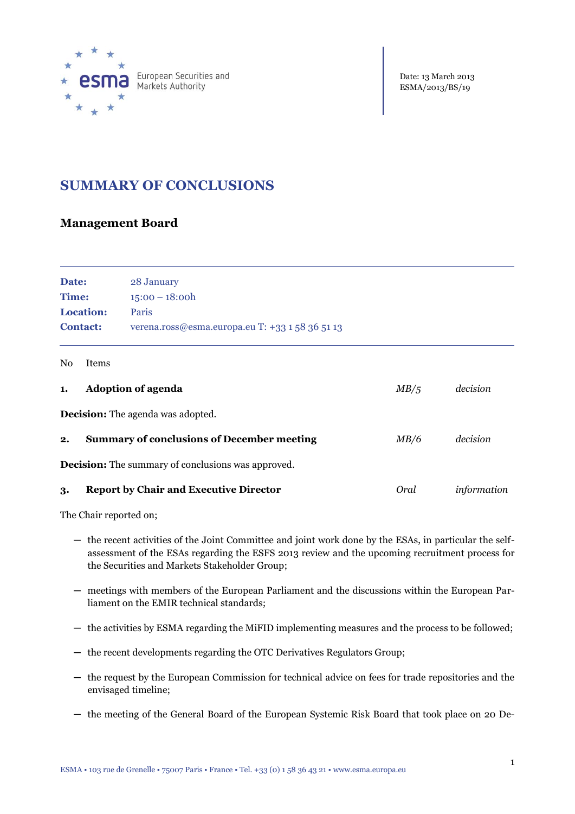

European Securities and Markets Authority

# **SUMMARY OF CONCLUSIONS**

## **Management Board**

| Date:            | 28 January                                      |
|------------------|-------------------------------------------------|
| Time:            | $15:00 - 18:00h$                                |
| <b>Location:</b> | Paris                                           |
| <b>Contact:</b>  | verena.ross@esma.europa.eu T: +33 1 58 36 51 13 |

#### No Items

| 1.                                                        | <b>Adoption of agenda</b>                         | MB/5 | decision    |
|-----------------------------------------------------------|---------------------------------------------------|------|-------------|
|                                                           | <b>Decision:</b> The agenda was adopted.          |      |             |
| 2.                                                        | <b>Summary of conclusions of December meeting</b> | MB/6 | decision    |
| <b>Decision:</b> The summary of conclusions was approved. |                                                   |      |             |
| 3.                                                        | <b>Report by Chair and Executive Director</b>     | Oral | information |

The Chair reported on;

- ─ the recent activities of the Joint Committee and joint work done by the ESAs, in particular the selfassessment of the ESAs regarding the ESFS 2013 review and the upcoming recruitment process for the Securities and Markets Stakeholder Group;
- ─ meetings with members of the European Parliament and the discussions within the European Parliament on the EMIR technical standards;
- the activities by ESMA regarding the MiFID implementing measures and the process to be followed;
- ─ the recent developments regarding the OTC Derivatives Regulators Group;
- ─ the request by the European Commission for technical advice on fees for trade repositories and the envisaged timeline;
- ─ the meeting of the General Board of the European Systemic Risk Board that took place on 20 De-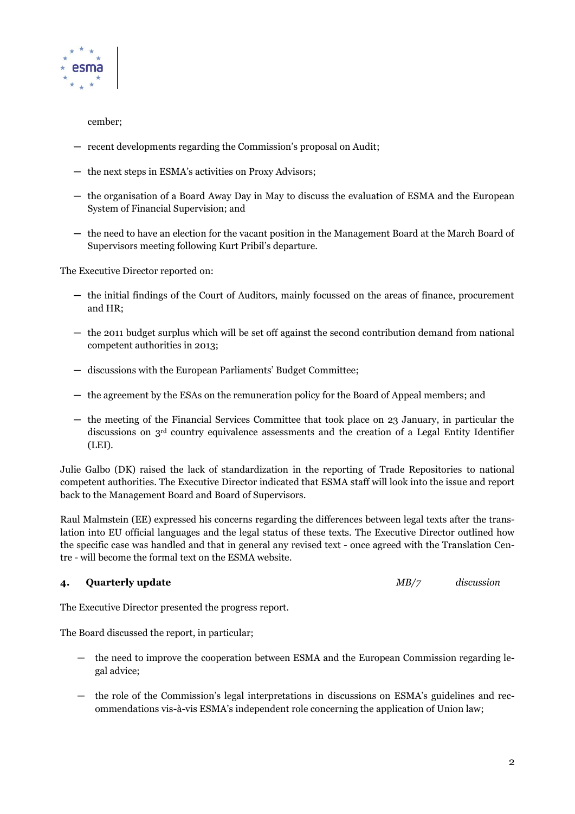

cember;

- $\sim$  recent developments regarding the Commission's proposal on Audit;
- ─ the next steps in ESMA's activities on Proxy Advisors;
- ─ the organisation of a Board Away Day in May to discuss the evaluation of ESMA and the European System of Financial Supervision; and
- ─ the need to have an election for the vacant position in the Management Board at the March Board of Supervisors meeting following Kurt Pribil's departure.

The Executive Director reported on:

- ─ the initial findings of the Court of Auditors, mainly focussed on the areas of finance, procurement and HR;
- ─ the 2011 budget surplus which will be set off against the second contribution demand from national competent authorities in 2013;
- ─ discussions with the European Parliaments' Budget Committee;
- ─ the agreement by the ESAs on the remuneration policy for the Board of Appeal members; and
- ─ the meeting of the Financial Services Committee that took place on 23 January, in particular the discussions on 3rd country equivalence assessments and the creation of a Legal Entity Identifier (LEI).

Julie Galbo (DK) raised the lack of standardization in the reporting of Trade Repositories to national competent authorities. The Executive Director indicated that ESMA staff will look into the issue and report back to the Management Board and Board of Supervisors.

Raul Malmstein (EE) expressed his concerns regarding the differences between legal texts after the translation into EU official languages and the legal status of these texts. The Executive Director outlined how the specific case was handled and that in general any revised text - once agreed with the Translation Centre - will become the formal text on the ESMA website.

#### **4. Quarterly update** *MB/7 discussion*

The Executive Director presented the progress report.

The Board discussed the report, in particular;

- ─ the need to improve the cooperation between ESMA and the European Commission regarding legal advice;
- ─ the role of the Commission's legal interpretations in discussions on ESMA's guidelines and recommendations vis-à-vis ESMA's independent role concerning the application of Union law;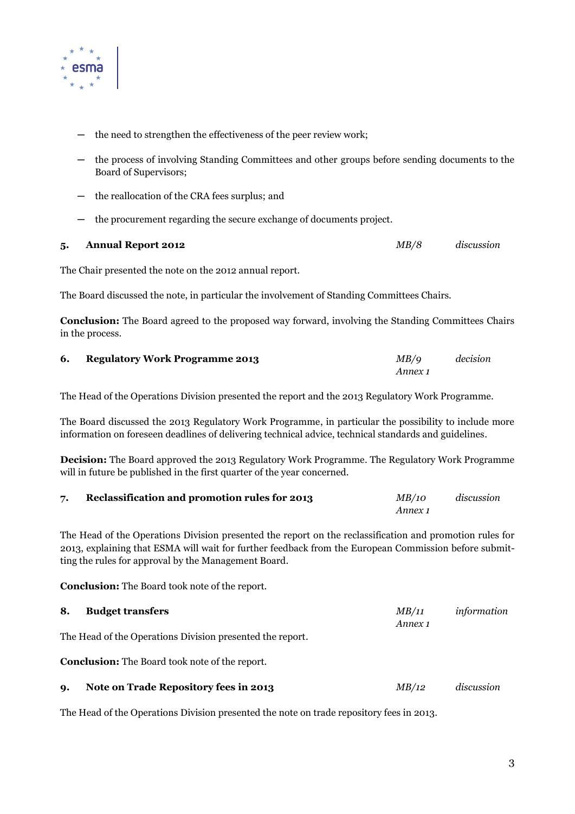

- ─ the need to strengthen the effectiveness of the peer review work;
- ─ the process of involving Standing Committees and other groups before sending documents to the Board of Supervisors;
- ─ the reallocation of the CRA fees surplus; and
- ─ the procurement regarding the secure exchange of documents project.

#### **5. Annual Report 2012** *MB/8 discussion*

The Chair presented the note on the 2012 annual report.

The Board discussed the note, in particular the involvement of Standing Committees Chairs.

**Conclusion:** The Board agreed to the proposed way forward, involving the Standing Committees Chairs in the process.

| 6. | <b>Regulatory Work Programme 2013</b> | MB/9    | decision |
|----|---------------------------------------|---------|----------|
|    |                                       | Annex 1 |          |

The Head of the Operations Division presented the report and the 2013 Regulatory Work Programme.

The Board discussed the 2013 Regulatory Work Programme, in particular the possibility to include more information on foreseen deadlines of delivering technical advice, technical standards and guidelines.

**Decision:** The Board approved the 2013 Regulatory Work Programme. The Regulatory Work Programme will in future be published in the first quarter of the year concerned.

| Reclassification and promotion rules for 2013 | MB/10   | discussion |
|-----------------------------------------------|---------|------------|
|                                               | Annex 1 |            |

The Head of the Operations Division presented the report on the reclassification and promotion rules for 2013, explaining that ESMA will wait for further feedback from the European Commission before submitting the rules for approval by the Management Board.

**Conclusion:** The Board took note of the report.

| 8. | <b>Budget transfers</b>                                   | MB/11   | information |
|----|-----------------------------------------------------------|---------|-------------|
|    |                                                           | Annex 1 |             |
|    | The Head of the Operations Division presented the report. |         |             |
|    | <b>Conclusion:</b> The Board took note of the report.     |         |             |
| 9. | Note on Trade Repository fees in 2013                     | MB/12   | discussion  |

The Head of the Operations Division presented the note on trade repository fees in 2013.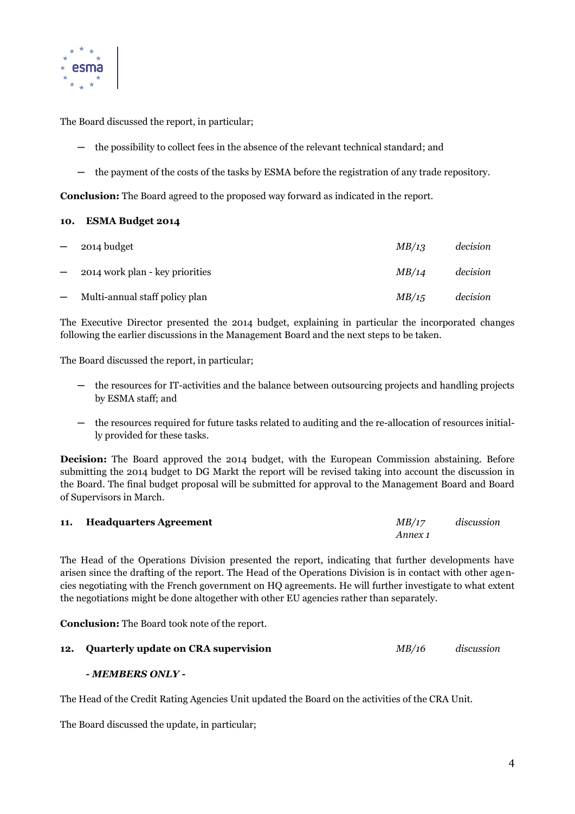

The Board discussed the report, in particular;

- ─ the possibility to collect fees in the absence of the relevant technical standard; and
- the payment of the costs of the tasks by ESMA before the registration of any trade repository.

**Conclusion:** The Board agreed to the proposed way forward as indicated in the report.

#### **10. ESMA Budget 2014**

| $\overline{\phantom{m}}$ | 2014 budget                     | MB/13 | decision |
|--------------------------|---------------------------------|-------|----------|
|                          | 2014 work plan - key priorities | MB/14 | decision |
|                          | Multi-annual staff policy plan  | MB/15 | decision |

The Executive Director presented the 2014 budget, explaining in particular the incorporated changes following the earlier discussions in the Management Board and the next steps to be taken.

The Board discussed the report, in particular;

- ─ the resources for IT-activities and the balance between outsourcing projects and handling projects by ESMA staff; and
- ─ the resources required for future tasks related to auditing and the re-allocation of resources initially provided for these tasks.

**Decision:** The Board approved the 2014 budget, with the European Commission abstaining. Before submitting the 2014 budget to DG Markt the report will be revised taking into account the discussion in the Board. The final budget proposal will be submitted for approval to the Management Board and Board of Supervisors in March.

| 11. Headquarters Agreement | MB/17   | discussion |
|----------------------------|---------|------------|
|                            | Annex 1 |            |

The Head of the Operations Division presented the report, indicating that further developments have arisen since the drafting of the report. The Head of the Operations Division is in contact with other agencies negotiating with the French government on HQ agreements. He will further investigate to what extent the negotiations might be done altogether with other EU agencies rather than separately.

**Conclusion:** The Board took note of the report.

#### **12. Quarterly update on CRA supervision**

### *- MEMBERS ONLY -*

The Head of the Credit Rating Agencies Unit updated the Board on the activities of the CRA Unit.

The Board discussed the update, in particular;

*MB/16 discussion*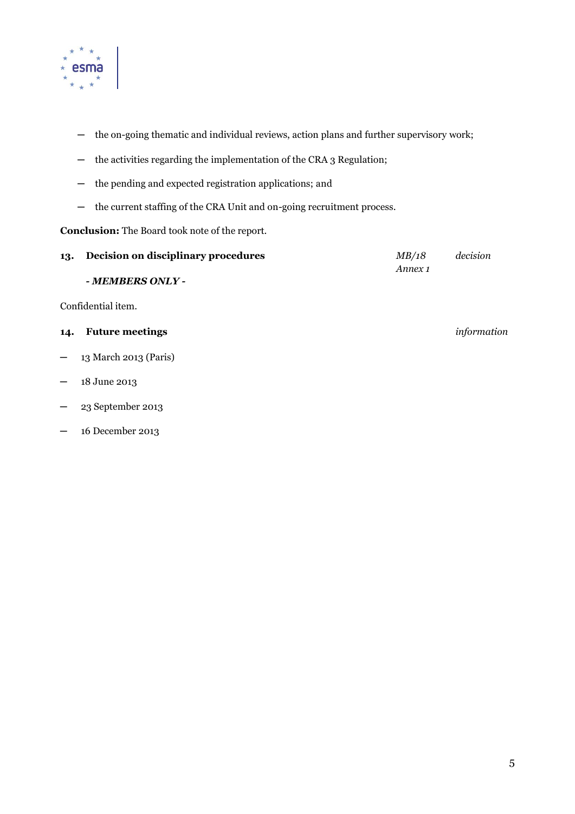

- the on-going thematic and individual reviews, action plans and further supervisory work;
- the activities regarding the implementation of the CRA 3 Regulation;
- ─ the pending and expected registration applications; and
- the current staffing of the CRA Unit and on-going recruitment process.

**Conclusion:** The Board took note of the report.

| 13.                             | Decision on disciplinary procedures | MB/18<br>Annex <sub>1</sub> | decision    |
|---------------------------------|-------------------------------------|-----------------------------|-------------|
|                                 | - MEMBERS ONLY -                    |                             |             |
|                                 | Confidential item.                  |                             |             |
| 14.                             | <b>Future meetings</b>              |                             | information |
| $\overline{\phantom{m}}$        | 13 March 2013 (Paris)               |                             |             |
| $\overline{\phantom{m}}$        | 18 June 2013                        |                             |             |
| $\hspace{0.1mm}-\hspace{0.1mm}$ | 23 September 2013                   |                             |             |
| $\overline{\phantom{m}}$        | 16 December 2013                    |                             |             |